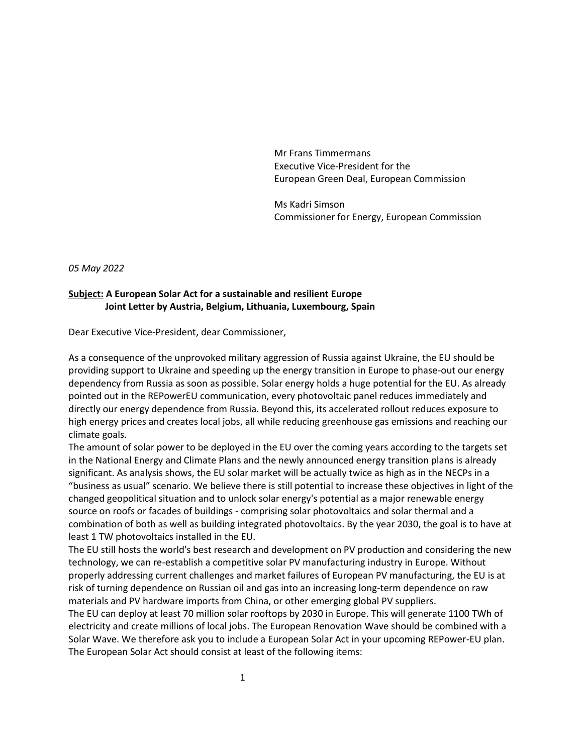Mr Frans Timmermans Executive Vice-President for the European Green Deal, European Commission

Ms Kadri Simson Commissioner for Energy, European Commission

*05 May 2022* 

## **Subject: A European Solar Act for a sustainable and resilient Europe Joint Letter by Austria, Belgium, Lithuania, Luxembourg, Spain**

Dear Executive Vice-President, dear Commissioner,

As a consequence of the unprovoked military aggression of Russia against Ukraine, the EU should be providing support to Ukraine and speeding up the energy transition in Europe to phase-out our energy dependency from Russia as soon as possible. Solar energy holds a huge potential for the EU. As already pointed out in the REPowerEU communication, every photovoltaic panel reduces immediately and directly our energy dependence from Russia. Beyond this, its accelerated rollout reduces exposure to high energy prices and creates local jobs, all while reducing greenhouse gas emissions and reaching our climate goals.

The amount of solar power to be deployed in the EU over the coming years according to the targets set in the National Energy and Climate Plans and the newly announced energy transition plans is already significant. As analysis shows, the EU solar market will be actually twice as high as in the NECPs in a "business as usual" scenario. We believe there is still potential to increase these objectives in light of the changed geopolitical situation and to unlock solar energy's potential as a major renewable energy source on roofs or facades of buildings - comprising solar photovoltaics and solar thermal and a combination of both as well as building integrated photovoltaics. By the year 2030, the goal is to have at least 1 TW photovoltaics installed in the EU.

The EU still hosts the world's best research and development on PV production and considering the new technology, we can re-establish a competitive solar PV manufacturing industry in Europe. Without properly addressing current challenges and market failures of European PV manufacturing, the EU is at risk of turning dependence on Russian oil and gas into an increasing long-term dependence on raw materials and PV hardware imports from China, or other emerging global PV suppliers.

The EU can deploy at least 70 million solar rooftops by 2030 in Europe. This will generate 1100 TWh of electricity and create millions of local jobs. The European Renovation Wave should be combined with a Solar Wave. We therefore ask you to include a European Solar Act in your upcoming REPower-EU plan. The European Solar Act should consist at least of the following items: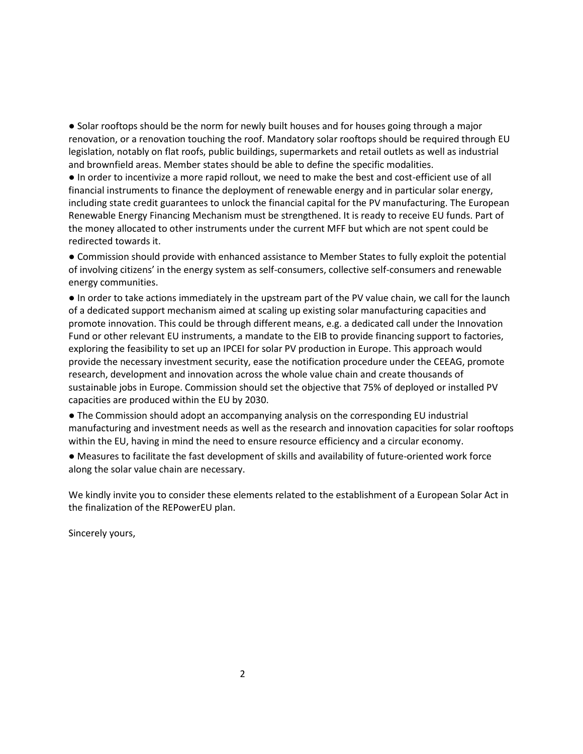● Solar rooftops should be the norm for newly built houses and for houses going through a major renovation, or a renovation touching the roof. Mandatory solar rooftops should be required through EU legislation, notably on flat roofs, public buildings, supermarkets and retail outlets as well as industrial and brownfield areas. Member states should be able to define the specific modalities.

● In order to incentivize a more rapid rollout, we need to make the best and cost-efficient use of all financial instruments to finance the deployment of renewable energy and in particular solar energy, including state credit guarantees to unlock the financial capital for the PV manufacturing. The European Renewable Energy Financing Mechanism must be strengthened. It is ready to receive EU funds. Part of the money allocated to other instruments under the current MFF but which are not spent could be redirected towards it.

● Commission should provide with enhanced assistance to Member States to fully exploit the potential of involving citizens' in the energy system as self-consumers, collective self-consumers and renewable energy communities.

● In order to take actions immediately in the upstream part of the PV value chain, we call for the launch of a dedicated support mechanism aimed at scaling up existing solar manufacturing capacities and promote innovation. This could be through different means, e.g. a dedicated call under the Innovation Fund or other relevant EU instruments, a mandate to the EIB to provide financing support to factories, exploring the feasibility to set up an IPCEI for solar PV production in Europe. This approach would provide the necessary investment security, ease the notification procedure under the CEEAG, promote research, development and innovation across the whole value chain and create thousands of sustainable jobs in Europe. Commission should set the objective that 75% of deployed or installed PV capacities are produced within the EU by 2030.

● The Commission should adopt an accompanying analysis on the corresponding EU industrial manufacturing and investment needs as well as the research and innovation capacities for solar rooftops within the EU, having in mind the need to ensure resource efficiency and a circular economy.

● Measures to facilitate the fast development of skills and availability of future-oriented work force along the solar value chain are necessary.

We kindly invite you to consider these elements related to the establishment of a European Solar Act in the finalization of the REPowerEU plan.

Sincerely yours,